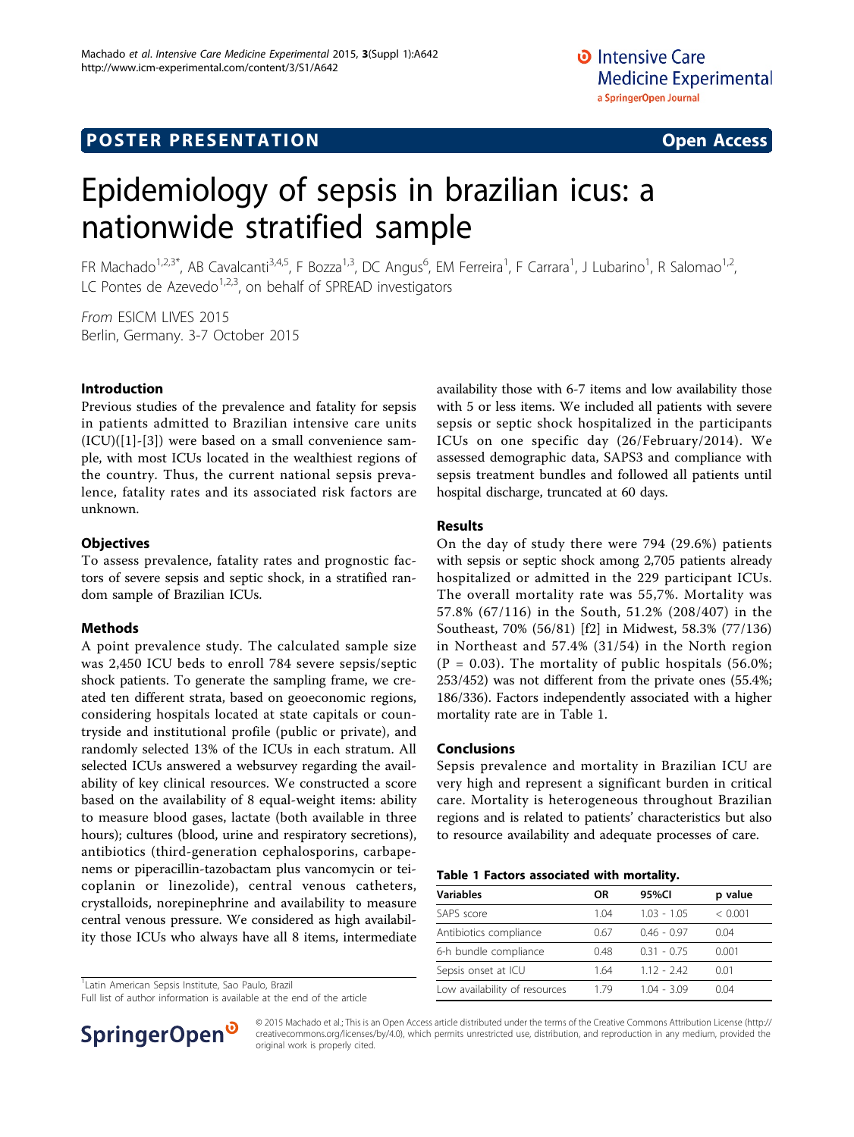# **POSTER PRESENTATION CONSUMING THE SERVICE SERVICE SERVICES**

# Epidemiology of sepsis in brazilian icus: a nationwide stratified sample

FR Machado<sup>1,2,3\*</sup>, AB Cavalcanti<sup>3,4,5</sup>, F Bozza<sup>1,3</sup>, DC Angus<sup>6</sup>, EM Ferreira<sup>1</sup>, F Carrara<sup>1</sup>, J Lubarino<sup>1</sup>, R Salomao<sup>1,2</sup>, LC Pontes de Azevedo<sup>1,2,3</sup>, on behalf of SPREAD investigators

From ESICM LIVES 2015 Berlin, Germany. 3-7 October 2015

#### Introduction

Previous studies of the prevalence and fatality for sepsis in patients admitted to Brazilian intensive care units (ICU)([\[1](#page-1-0)]-[[3\]](#page-1-0)) were based on a small convenience sample, with most ICUs located in the wealthiest regions of the country. Thus, the current national sepsis prevalence, fatality rates and its associated risk factors are unknown.

#### **Objectives**

To assess prevalence, fatality rates and prognostic factors of severe sepsis and septic shock, in a stratified random sample of Brazilian ICUs.

#### Methods

A point prevalence study. The calculated sample size was 2,450 ICU beds to enroll 784 severe sepsis/septic shock patients. To generate the sampling frame, we created ten different strata, based on geoeconomic regions, considering hospitals located at state capitals or countryside and institutional profile (public or private), and randomly selected 13% of the ICUs in each stratum. All selected ICUs answered a websurvey regarding the availability of key clinical resources. We constructed a score based on the availability of 8 equal-weight items: ability to measure blood gases, lactate (both available in three hours); cultures (blood, urine and respiratory secretions), antibiotics (third-generation cephalosporins, carbapenems or piperacillin-tazobactam plus vancomycin or teicoplanin or linezolide), central venous catheters, crystalloids, norepinephrine and availability to measure central venous pressure. We considered as high availability those ICUs who always have all 8 items, intermediate

<sup>1</sup> Latin American Sepsis Institute, Sao Paulo, Brazil

Full list of author information is available at the end of the article



availability those with 6-7 items and low availability those with 5 or less items. We included all patients with severe sepsis or septic shock hospitalized in the participants ICUs on one specific day (26/February/2014). We assessed demographic data, SAPS3 and compliance with sepsis treatment bundles and followed all patients until hospital discharge, truncated at 60 days.

#### Results

On the day of study there were 794 (29.6%) patients with sepsis or septic shock among 2,705 patients already hospitalized or admitted in the 229 participant ICUs. The overall mortality rate was 55,7%. Mortality was 57.8% (67/116) in the South, 51.2% (208/407) in the Southeast, 70% (56/81) [f2] in Midwest, 58.3% (77/136) in Northeast and 57.4% (31/54) in the North region  $(P = 0.03)$ . The mortality of public hospitals (56.0%; 253/452) was not different from the private ones (55.4%; 186/336). Factors independently associated with a higher mortality rate are in Table 1.

#### Conclusions

Sepsis prevalence and mortality in Brazilian ICU are very high and represent a significant burden in critical care. Mortality is heterogeneous throughout Brazilian regions and is related to patients' characteristics but also to resource availability and adequate processes of care.

| <b>Variables</b>              | <b>OR</b> | 95%CI         | p value |
|-------------------------------|-----------|---------------|---------|
| SAPS score                    | 1 04      | $1.03 - 1.05$ | < 0.001 |
| Antibiotics compliance        | 0.67      | $0.46 - 0.97$ | 0.04    |
| 6-h bundle compliance         | 0.48      | $0.31 - 0.75$ | 0.001   |
| Sepsis onset at ICU           | 1.64      | $1.12 - 2.42$ | 0.01    |
| Low availability of resources | 1 79      | $1.04 - 3.09$ | 0.04    |

© 2015 Machado et al.; This is an Open Access article distributed under the terms of the Creative Commons Attribution License [\(http://](http://creativecommons.org/licenses/by/4.0) [creativecommons.org/licenses/by/4.0](http://creativecommons.org/licenses/by/4.0)), which permits unrestricted use, distribution, and reproduction in any medium, provided the original work is properly cited.